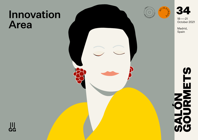# Innovation Area





18——21 October 2021

Madrid, Spain



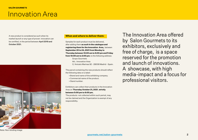### [Innovation Area](https://www.gourmets.net/salon-gourmets/2020/catalogo-expositores/grupo-gourmets/innovation-area)

A new product is considered as such when its market launch or any type of proven innovation can be certified, in the period between April 2019 and October 2021.



### **When and where to deliver them:**

Samples for each product must be delivered, after adding them **as such in the catalogue and registering them for the Innovation Area,** between **September 20 to 24, 2021 from Monday to Thursday between 10:00 am to 6:00 pm and Friday from 10:00 am to 2:00 pm**; to the following address:

- Grupo Gourmets Att.: Innovation Area
- C/ Aniceto Marinas 92 28008 Madrid Spain.

The parcel containing the new products should reflect the following data on a label:

- Brand and name of the exhibiting company.
- Commercial name of the product.
- Stand number.

Exhibitors can collect their products in the Innovation Area on **Thursday October 21, 2021**, **strictly between 5:00 pm to 6:00 pm.** 

The products not collected within such period, may not be claimed and the Organization is exempt of any responsibility.

The Innovation Area offered by Salon Gourmets to its exhibitors, exclusively and free of charge, is a space reserved for the promotion and launch of innovations. A showcase, with high media-impact and a focus for professional visitors.

Note: Non-binding image